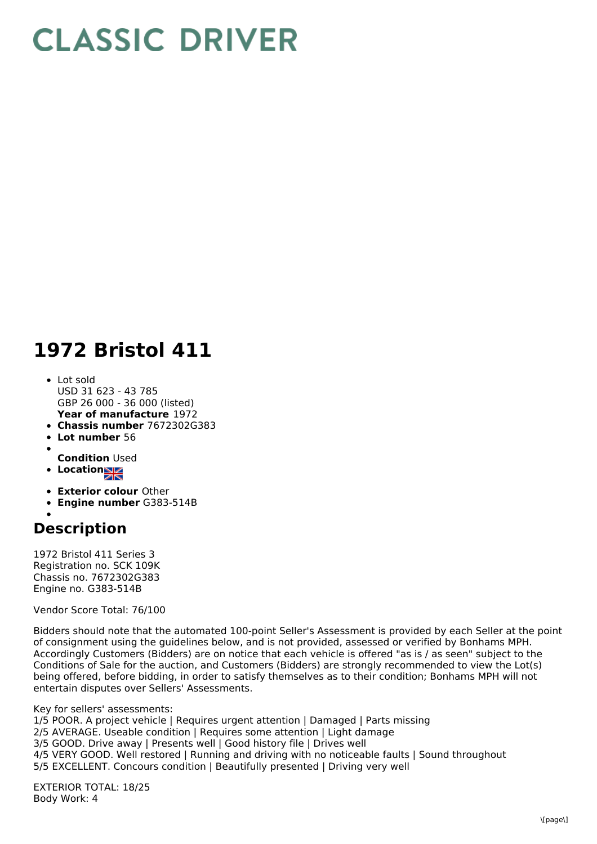## **CLASSIC DRIVER**

## **1972 Bristol 411**

- **Year of manufacture** 1972 Lot sold USD 31 623 - 43 785 GBP 26 000 - 36 000 (listed)
- **Chassis number** 7672302G383
- **Lot number** 56
- 
- **Condition** Used
- **Locations**
- **Exterior colour** Other
- **Engine number** G383-514B
- 

## **Description**

1972 Bristol 411 Series 3 Registration no. SCK 109K Chassis no. 7672302G383 Engine no. G383-514B

Vendor Score Total: 76/100

Bidders should note that the automated 100-point Seller's Assessment is provided by each Seller at the point of consignment using the guidelines below, and is not provided, assessed or verified by Bonhams MPH. Accordingly Customers (Bidders) are on notice that each vehicle is offered "as is / as seen" subject to the Conditions of Sale for the auction, and Customers (Bidders) are strongly recommended to view the Lot(s) being offered, before bidding, in order to satisfy themselves as to their condition; Bonhams MPH will not entertain disputes over Sellers' Assessments.

Key for sellers' assessments:

1/5 POOR. A project vehicle | Requires urgent attention | Damaged | Parts missing 2/5 AVERAGE. Useable condition | Requires some attention | Light damage

- 3/5 GOOD. Drive away | Presents well | Good history file | Drives well
- 4/5 VERY GOOD. Well restored | Running and driving with no noticeable faults | Sound throughout

5/5 EXCELLENT. Concours condition | Beautifully presented | Driving very well

EXTERIOR TOTAL: 18/25 Body Work: 4